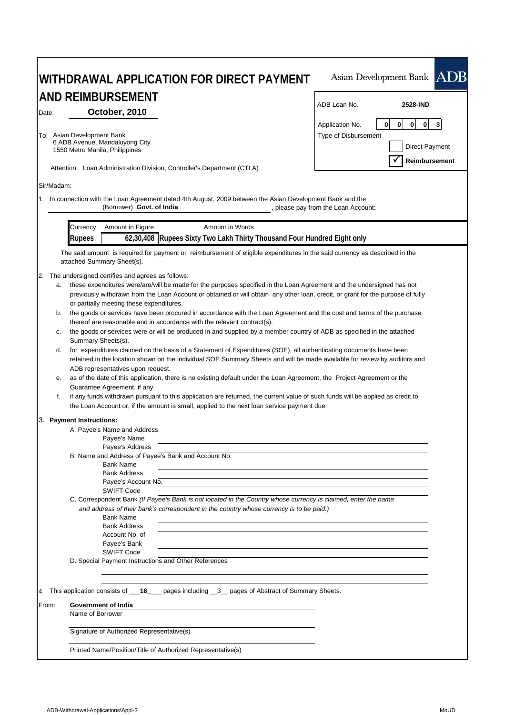|       | WITHDRAWAL APPLICATION FOR DIRECT PAYMENT                                                                                                                                                                                                                                                                                                                                                                                                                                                                                                                                                                                                                                                                                                                                                                                                                                                                                                                                                                                                                                                                                                                                                                                                                                                                                                                                                                                              | Asian Development Bank ADB                                                                                                              |
|-------|----------------------------------------------------------------------------------------------------------------------------------------------------------------------------------------------------------------------------------------------------------------------------------------------------------------------------------------------------------------------------------------------------------------------------------------------------------------------------------------------------------------------------------------------------------------------------------------------------------------------------------------------------------------------------------------------------------------------------------------------------------------------------------------------------------------------------------------------------------------------------------------------------------------------------------------------------------------------------------------------------------------------------------------------------------------------------------------------------------------------------------------------------------------------------------------------------------------------------------------------------------------------------------------------------------------------------------------------------------------------------------------------------------------------------------------|-----------------------------------------------------------------------------------------------------------------------------------------|
|       | <b>AND REIMBURSEMENT</b>                                                                                                                                                                                                                                                                                                                                                                                                                                                                                                                                                                                                                                                                                                                                                                                                                                                                                                                                                                                                                                                                                                                                                                                                                                                                                                                                                                                                               |                                                                                                                                         |
| Date: | October, 2010                                                                                                                                                                                                                                                                                                                                                                                                                                                                                                                                                                                                                                                                                                                                                                                                                                                                                                                                                                                                                                                                                                                                                                                                                                                                                                                                                                                                                          | ADB Loan No.<br>2528-IND                                                                                                                |
|       | To: Asian Development Bank<br>6 ADB Avenue, Mandaluyong City<br>1550 Metro Manila, Philippines<br>Attention: Loan Administration Division, Controller's Department (CTLA)                                                                                                                                                                                                                                                                                                                                                                                                                                                                                                                                                                                                                                                                                                                                                                                                                                                                                                                                                                                                                                                                                                                                                                                                                                                              | $\mathbf 0$<br> 0 <br>$\overline{\mathbf{3}}$<br>0<br> 0 <br>Application No.<br>Type of Disbursement<br>Direct Payment<br>Reimbursement |
|       | Sir/Madam:                                                                                                                                                                                                                                                                                                                                                                                                                                                                                                                                                                                                                                                                                                                                                                                                                                                                                                                                                                                                                                                                                                                                                                                                                                                                                                                                                                                                                             |                                                                                                                                         |
|       | 1. In connection with the Loan Agreement dated 4th August, 2009 between the Asian Development Bank and the<br>(Borrower) Govt. of India                                                                                                                                                                                                                                                                                                                                                                                                                                                                                                                                                                                                                                                                                                                                                                                                                                                                                                                                                                                                                                                                                                                                                                                                                                                                                                | , please pay from the Loan Account:                                                                                                     |
|       | Amount in Figure<br>Amount in Words<br>Currency                                                                                                                                                                                                                                                                                                                                                                                                                                                                                                                                                                                                                                                                                                                                                                                                                                                                                                                                                                                                                                                                                                                                                                                                                                                                                                                                                                                        |                                                                                                                                         |
|       | 62,30,408 Rupees Sixty Two Lakh Thirty Thousand Four Hundred Eight only<br><b>Rupees</b>                                                                                                                                                                                                                                                                                                                                                                                                                                                                                                                                                                                                                                                                                                                                                                                                                                                                                                                                                                                                                                                                                                                                                                                                                                                                                                                                               |                                                                                                                                         |
|       | The said amount is required for payment or reimbursement of eligible expenditures in the said currency as described in the<br>attached Summary Sheet(s).                                                                                                                                                                                                                                                                                                                                                                                                                                                                                                                                                                                                                                                                                                                                                                                                                                                                                                                                                                                                                                                                                                                                                                                                                                                                               |                                                                                                                                         |
|       | 2. The undersigned certifies and agrees as follows:<br>these expenditures were/are/will be made for the purposes specified in the Loan Agreement and the undersigned has not<br>a.<br>previously withdrawn from the Loan Account or obtained or will obtain any other loan, credit, or grant for the purpose of fully<br>or partially meeting these expenditures.<br>the goods or services have been procured in accordance with the Loan Agreement and the cost and terms of the purchase<br>b.<br>thereof are reasonable and in accordance with the relevant contract(s).<br>the goods or services were or will be produced in and supplied by a member country of ADB as specified in the attached<br>c.<br>Summary Sheets(s).<br>for expenditures claimed on the basis of a Statement of Expenditures (SOE), all authenticating documents have been<br>d.<br>retained in the location shown on the individual SOE Summary Sheets and will be made available for review by auditors and<br>ADB representatives upon request.<br>as of the date of this application, there is no existing default under the Loan Agreement, the Project Agreement or the<br>е.<br>Guarantee Agreement, if any.<br>f.<br>if any funds withdrawn pursuant to this application are returned, the current value of such funds will be applied as credit to<br>the Loan Account or, if the amount is small, applied to the next loan service payment due. |                                                                                                                                         |
|       | 3. Payment Instructions:<br>A. Payee's Name and Address<br>Payee's Name<br>Payee's Address<br>B. Name and Address of Payee's Bank and Account No.<br><b>Bank Name</b><br><b>Bank Address</b><br>Payee's Account No.<br><b>SWIFT Code</b><br>C. Correspondent Bank (If Payee's Bank is not located in the Country whose currency is claimed, enter the name<br>and address of their bank's correspondent in the country whose currency is to be paid.)<br><b>Bank Name</b><br><b>Bank Address</b><br>Account No. of<br>Payee's Bank<br><b>SWIFT Code</b><br>D. Special Payment Instructions and Other References                                                                                                                                                                                                                                                                                                                                                                                                                                                                                                                                                                                                                                                                                                                                                                                                                        |                                                                                                                                         |
|       | 4. This application consists of ___16____ pages including __3__ pages of Abstract of Summary Sheets.                                                                                                                                                                                                                                                                                                                                                                                                                                                                                                                                                                                                                                                                                                                                                                                                                                                                                                                                                                                                                                                                                                                                                                                                                                                                                                                                   |                                                                                                                                         |
| From: | Government of India<br>Name of Borrower                                                                                                                                                                                                                                                                                                                                                                                                                                                                                                                                                                                                                                                                                                                                                                                                                                                                                                                                                                                                                                                                                                                                                                                                                                                                                                                                                                                                |                                                                                                                                         |
|       | Signature of Authorized Representative(s)                                                                                                                                                                                                                                                                                                                                                                                                                                                                                                                                                                                                                                                                                                                                                                                                                                                                                                                                                                                                                                                                                                                                                                                                                                                                                                                                                                                              |                                                                                                                                         |
|       | Printed Name/Position/Title of Authorized Representative(s)                                                                                                                                                                                                                                                                                                                                                                                                                                                                                                                                                                                                                                                                                                                                                                                                                                                                                                                                                                                                                                                                                                                                                                                                                                                                                                                                                                            |                                                                                                                                         |

 $\mathbf{r}$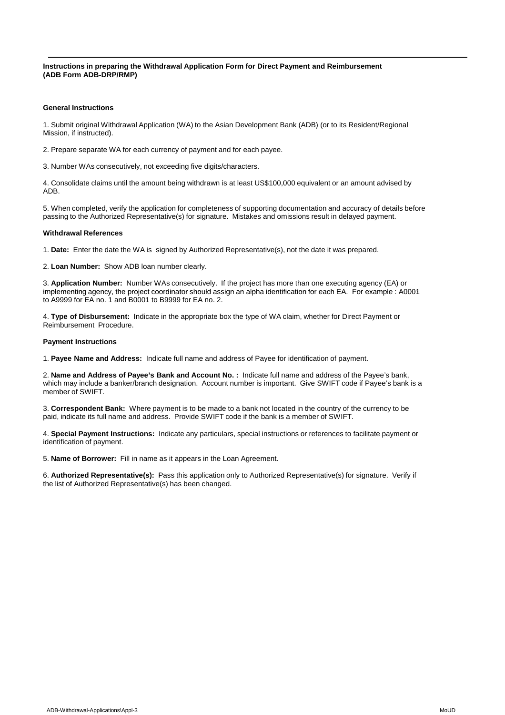**Instructions in preparing the Withdrawal Application Form for Direct Payment and Reimbursement (ADB Form ADB-DRP/RMP)**

#### **General Instructions**

1. Submit original Withdrawal Application (WA) to the Asian Development Bank (ADB) (or to its Resident/Regional Mission, if instructed).

2. Prepare separate WA for each currency of payment and for each payee.

3. Number WAs consecutively, not exceeding five digits/characters.

4. Consolidate claims until the amount being withdrawn is at least US\$100,000 equivalent or an amount advised by ADB.

5. When completed, verify the application for completeness of supporting documentation and accuracy of details before passing to the Authorized Representative(s) for signature. Mistakes and omissions result in delayed payment.

#### **Withdrawal References**

1. **Date:** Enter the date the WA is signed by Authorized Representative(s), not the date it was prepared.

2. **Loan Number:** Show ADB loan number clearly.

3. **Application Number:** Number WAs consecutively. If the project has more than one executing agency (EA) or implementing agency, the project coordinator should assign an alpha identification for each EA. For example : A0001 to A9999 for EA no. 1 and B0001 to B9999 for EA no. 2.

4. **Type of Disbursement:** Indicate in the appropriate box the type of WA claim, whether for Direct Payment or Reimbursement Procedure.

#### **Payment Instructions**

1. **Payee Name and Address:** Indicate full name and address of Payee for identification of payment.

2. **Name and Address of Payee's Bank and Account No. :** Indicate full name and address of the Payee's bank, which may include a banker/branch designation. Account number is important. Give SWIFT code if Payee's bank is a member of SWIFT.

3. **Correspondent Bank:** Where payment is to be made to a bank not located in the country of the currency to be paid, indicate its full name and address. Provide SWIFT code if the bank is a member of SWIFT.

4. **Special Payment Instructions:** Indicate any particulars, special instructions or references to facilitate payment or identification of payment.

5. **Name of Borrower:** Fill in name as it appears in the Loan Agreement.

6. **Authorized Representative(s):** Pass this application only to Authorized Representative(s) for signature. Verify if the list of Authorized Representative(s) has been changed.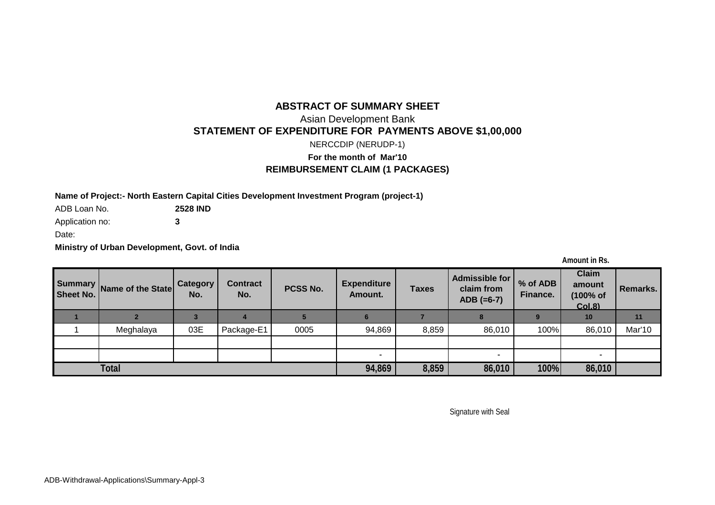### **ABSTRACT OF SUMMARY SHEET**

# Asian Development Bank **STATEMENT OF EXPENDITURE FOR PAYMENTS ABOVE \$1,00,000**

NERCCDIP (NERUDP-1)

# **For the month of Mar'10 REIMBURSEMENT CLAIM (1 PACKAGES)**

**Name of Project:- North Eastern Capital Cities Development Investment Program (project-1)**

ADB Loan No. **2528 IND**

Application no: **3**

Date:

**Ministry of Urban Development, Govt. of India**

**Amount in Rs.**

| Sheet No.    | Summary Name of the State | Category<br>No. | <b>Contract</b><br>No. | PCSS No. | <b>Expenditure</b><br>Amount. | <b>Taxes</b> | Admissible for<br>claim from<br>$ADB (=6-7)$ | % of ADB<br>Finance. | <b>Claim</b><br>amount<br>(100% of<br><b>Col.8)</b> | Remarks. |
|--------------|---------------------------|-----------------|------------------------|----------|-------------------------------|--------------|----------------------------------------------|----------------------|-----------------------------------------------------|----------|
|              |                           |                 |                        |          |                               |              |                                              |                      | 10                                                  |          |
|              | Meghalaya                 | 03E             | Package-E1             | 0005     | 94,869                        | 8,859        | 86,010                                       | 100%                 | 86,010                                              | Mar'10   |
|              |                           |                 |                        |          |                               |              |                                              |                      |                                                     |          |
|              |                           |                 |                        |          | $\overline{\phantom{a}}$      |              |                                              |                      |                                                     |          |
| <b>Total</b> |                           |                 |                        |          | 94,869                        | 8,859        | 86,010                                       | 100%                 | 86,010                                              |          |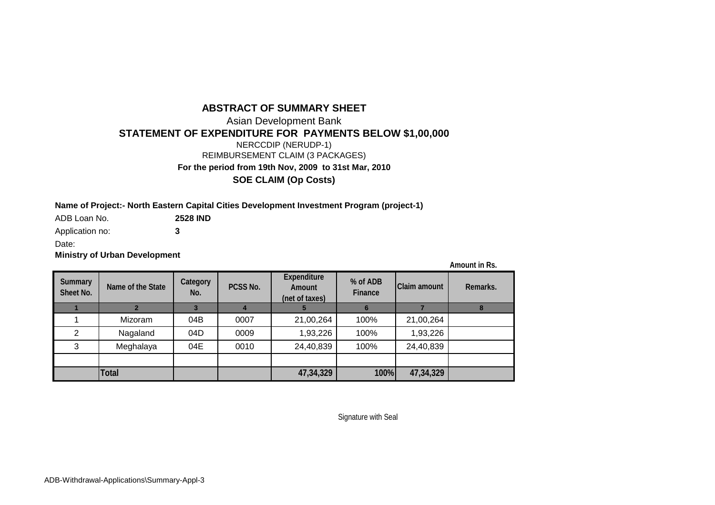# **ABSTRACT OF SUMMARY SHEET**

Asian Development Bank **STATEMENT OF EXPENDITURE FOR PAYMENTS BELOW \$1,00,000**

NERCCDIP (NERUDP-1)

REIMBURSEMENT CLAIM (3 PACKAGES)

**For the period from 19th Nov, 2009 to 31st Mar, 2010**

**SOE CLAIM (Op Costs)**

### **Name of Project:- North Eastern Capital Cities Development Investment Program (project-1)**

ADB Loan No. **2528 IND**

Application no: **3**

Date:

**Ministry of Urban Development**

**Amount in Rs.**

| <b>Summary</b><br><b>Sheet No.</b> | Name of the State | <b>Category</b><br>No. | PCSS No. | <b>Expenditure</b><br><b>Amount</b><br>(net of taxes) | % of ADB<br><b>Finance</b> | <b>Claim amount</b> | Remarks. |
|------------------------------------|-------------------|------------------------|----------|-------------------------------------------------------|----------------------------|---------------------|----------|
|                                    |                   |                        |          |                                                       |                            |                     |          |
|                                    | Mizoram           | 04B                    | 0007     | 21,00,264                                             | 100%                       | 21,00,264           |          |
| 2                                  | Nagaland          | 04D                    | 0009     | 1,93,226                                              | 100%                       | 1,93,226            |          |
| 3                                  | Meghalaya         | 04E                    | 0010     | 24,40,839                                             | 100%                       | 24,40,839           |          |
|                                    |                   |                        |          |                                                       |                            |                     |          |
|                                    | <b>Total</b>      |                        |          | 47,34,329                                             | 100%                       | 47,34,329           |          |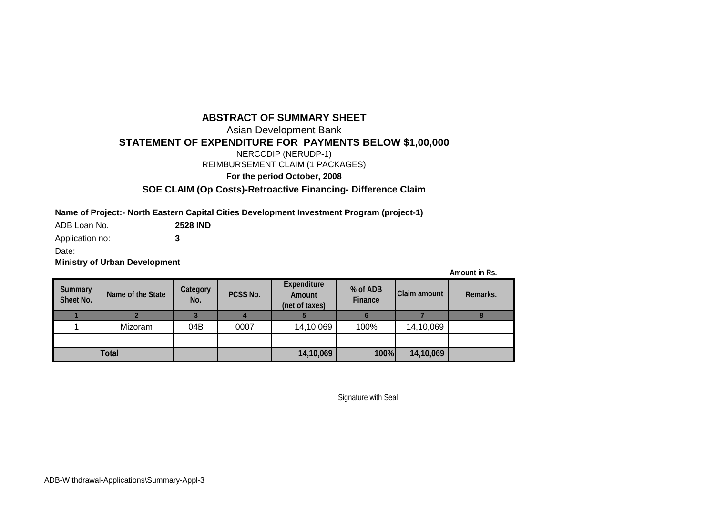# **ABSTRACT OF SUMMARY SHEET**

Asian Development Bank

**STATEMENT OF EXPENDITURE FOR PAYMENTS BELOW \$1,00,000**

NERCCDIP (NERUDP-1)

REIMBURSEMENT CLAIM (1 PACKAGES)

**For the period October, 2008**

**SOE CLAIM (Op Costs)-Retroactive Financing- Difference Claim**

**Name of Project:- North Eastern Capital Cities Development Investment Program (project-1)**

ADB Loan No. **2528 IND**

Application no: **3**

Date:

**Ministry of Urban Development**

**Amount in Rs.**

| <b>Summary</b><br><b>Sheet No.</b> | Name of the State | <b>Category</b><br>No. | PCSS No. | <b>Expenditure</b><br><b>Amount</b><br>(net of taxes) | % of ADB<br><b>Finance</b> | <b>Claim amount</b> | Remarks. |
|------------------------------------|-------------------|------------------------|----------|-------------------------------------------------------|----------------------------|---------------------|----------|
|                                    |                   |                        |          |                                                       |                            |                     |          |
|                                    | Mizoram           | 04B                    | 0007     | 14,10,069                                             | 100%                       | 14,10,069           |          |
|                                    |                   |                        |          |                                                       |                            |                     |          |
|                                    | <b>Total</b>      |                        |          | 14,10,069                                             | 100%                       | 14,10,069           |          |